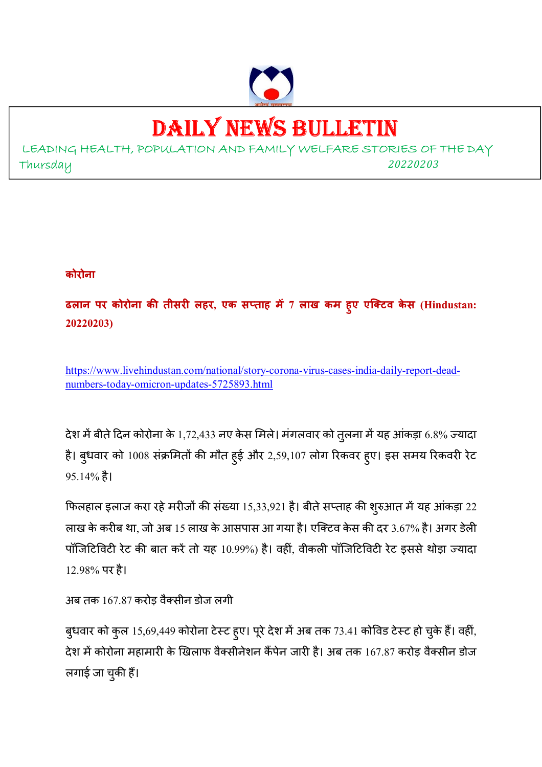

# DAILY NEWS BULLETIN

LEADING HEALTH, POPULATION AND FAMILY WELFARE STORIES OF THE DAY Thursday *<sup>20220203</sup>*

# **कोरोना**

**ढलान पर कोरोना क तीसर लहर, एक सताह म 7 लाख कम हुए एिटव के स (Hindustan: 20220203)** 

https://www.livehindustan.com/national/story-corona-virus-cases-india-daily-report-deadnumbers-today-omicron-updates-5725893.html

देश में बीते दिन कोरोना के 1,72,433 नए केस मिले। मगलवार को तुलना में यह आंकड़ा 6.8% ज्यादा है। बुधवार को 1008 संक्रमितों की मौत हुई और 2,59,107 लोग रिकवर हुए। इस समय रिकवरी रेट 95.14% है।

फिलहाल इलाज करा रहे मरीजों की संख्या 15,33,921 है। बीते सप्ताह की शुरुआत में यह आंकड़ा 22 लाख के करीब था, जो अब 15 लाख के आसपास आ गया है। एक्टिव केस की दर 3.67% है। अगर डेली पॉर्जिटिविटी रेट की बात करे तो यह 10.99%) है। वही, वीकली पॉर्जिटिविटी रेट इससे थोड़ा ज्यादा 12.98% पर है।

```
अब तक 167.87 करोड़ वैक्सीन डोज लगी
```
बुधवार को कुल 15,69,449 कोरोना टेस्ट हुए। पूरे देश में अब तक 73.41 कोविड टेस्ट हो चुके हैं। वहीं, देश में कोरोना महामारी के खिलाफ वैक्सीनेशन कैंपेन जारी है। अब तक 167.87 करोड़ वैक्सीन डोज लगाई जा चुकी हैं।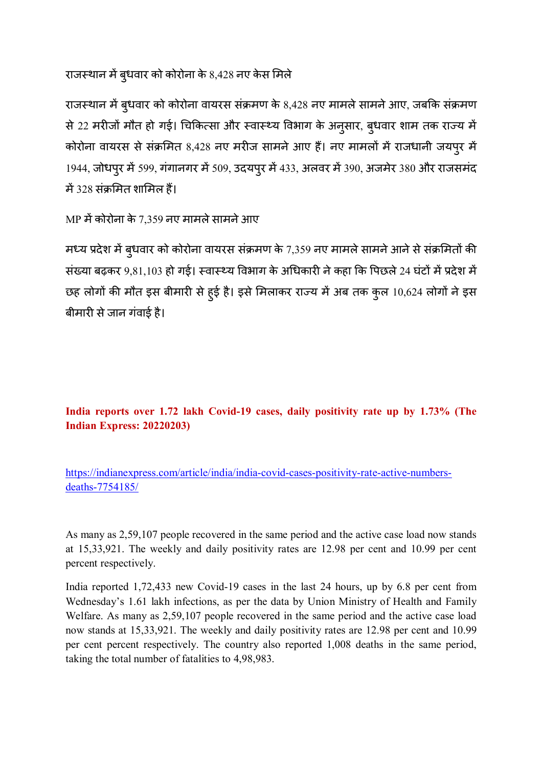राजस्थान में बुधवार को कोरोना के 8,428 नए केस मिले

राजस्थान में बुधवार को कोरोना वायरस संक्रमण के 8,428 नए मामले सामने आए, जबकि संक्रमण से 22 मरीजों मौत हो गई। चिकित्सा और स्वास्थ्य विभाग के अनुसार, बुधवार शाम तक राज्य में कोरोना वायरस से संक्रमित 8,428 नए मरीज सामने आए हैं। नए मामलों में राजधानी जयपुर में 1944, जोधपुर में 599, गंगानगर में 509, उदयपुर में 433, अलवर में 390, अजमेर 380 और राजसमंद में 328 संक्रमित शामिल हैं।

MP में कोरोना के 7,359 नए मामले सामने आए

मध्य प्रदेश में बुधवार को कोरोना वायरस संक्रमण के 7,359 नए मामले सामने आने से संक्रमितों की संख्या बढ़कर 9,81,103 हो गई। स्वास्थ्य विभाग के अधिकारी ने कहा कि पिछले 24 घंटों में प्रदेश में छह लोगों की मौत इस बीमारी से हुई है। इसे मिलाकर राज्य में अब तक कुल 10,624 लोगों ने इस बीमारी से जान गंवाई है।

**India reports over 1.72 lakh Covid-19 cases, daily positivity rate up by 1.73% (The Indian Express: 20220203)** 

https://indianexpress.com/article/india/india-covid-cases-positivity-rate-active-numbersdeaths-7754185/

As many as 2,59,107 people recovered in the same period and the active case load now stands at 15,33,921. The weekly and daily positivity rates are 12.98 per cent and 10.99 per cent percent respectively.

India reported 1,72,433 new Covid-19 cases in the last 24 hours, up by 6.8 per cent from Wednesday's 1.61 lakh infections, as per the data by Union Ministry of Health and Family Welfare. As many as 2,59,107 people recovered in the same period and the active case load now stands at 15,33,921. The weekly and daily positivity rates are 12.98 per cent and 10.99 per cent percent respectively. The country also reported 1,008 deaths in the same period, taking the total number of fatalities to 4,98,983.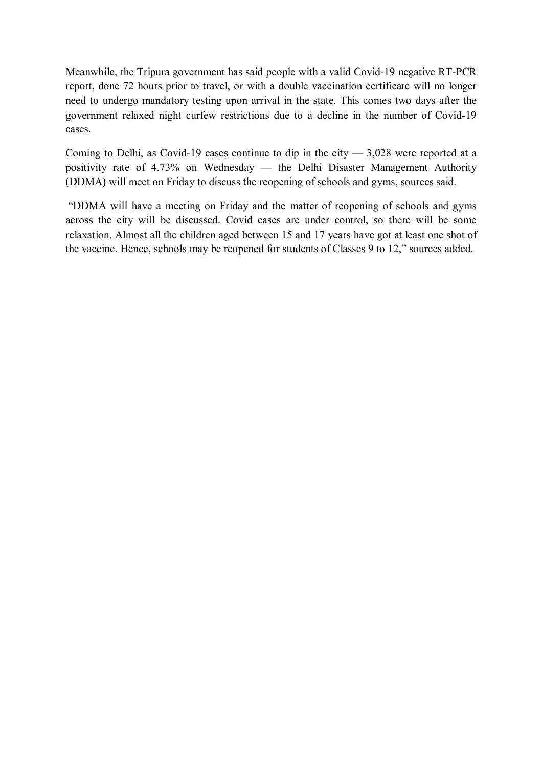Meanwhile, the Tripura government has said people with a valid Covid-19 negative RT-PCR report, done 72 hours prior to travel, or with a double vaccination certificate will no longer need to undergo mandatory testing upon arrival in the state. This comes two days after the government relaxed night curfew restrictions due to a decline in the number of Covid-19 cases.

Coming to Delhi, as Covid-19 cases continue to dip in the city  $-3.028$  were reported at a positivity rate of 4.73% on Wednesday — the Delhi Disaster Management Authority (DDMA) will meet on Friday to discuss the reopening of schools and gyms, sources said.

 "DDMA will have a meeting on Friday and the matter of reopening of schools and gyms across the city will be discussed. Covid cases are under control, so there will be some relaxation. Almost all the children aged between 15 and 17 years have got at least one shot of the vaccine. Hence, schools may be reopened for students of Classes 9 to 12," sources added.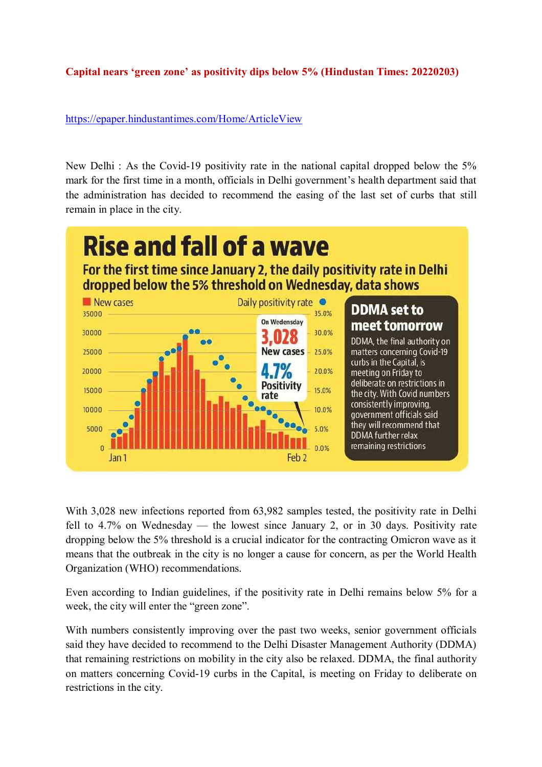## **Capital nears 'green zone' as positivity dips below 5% (Hindustan Times: 20220203)**

https://epaper.hindustantimes.com/Home/ArticleView

New Delhi : As the Covid-19 positivity rate in the national capital dropped below the 5% mark for the first time in a month, officials in Delhi government's health department said that the administration has decided to recommend the easing of the last set of curbs that still remain in place in the city.



With 3,028 new infections reported from 63,982 samples tested, the positivity rate in Delhi fell to 4.7% on Wednesday — the lowest since January 2, or in 30 days. Positivity rate dropping below the 5% threshold is a crucial indicator for the contracting Omicron wave as it means that the outbreak in the city is no longer a cause for concern, as per the World Health Organization (WHO) recommendations.

Even according to Indian guidelines, if the positivity rate in Delhi remains below 5% for a week, the city will enter the "green zone".

With numbers consistently improving over the past two weeks, senior government officials said they have decided to recommend to the Delhi Disaster Management Authority (DDMA) that remaining restrictions on mobility in the city also be relaxed. DDMA, the final authority on matters concerning Covid-19 curbs in the Capital, is meeting on Friday to deliberate on restrictions in the city.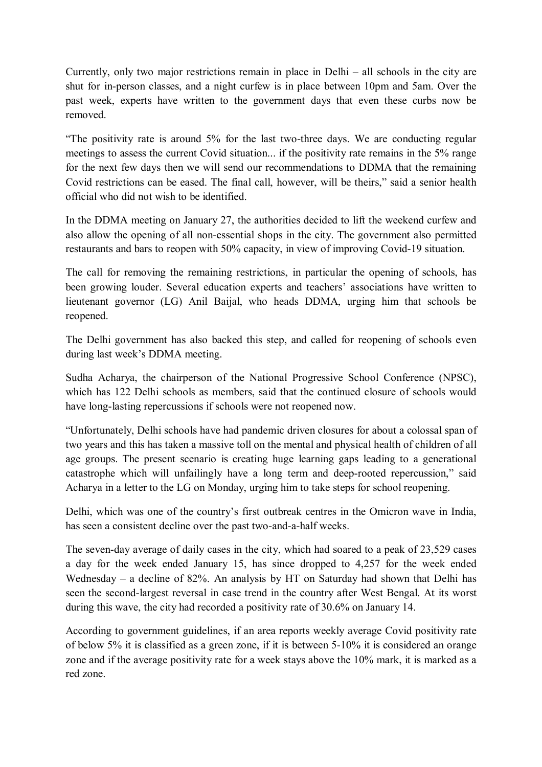Currently, only two major restrictions remain in place in Delhi – all schools in the city are shut for in-person classes, and a night curfew is in place between 10pm and 5am. Over the past week, experts have written to the government days that even these curbs now be removed.

"The positivity rate is around 5% for the last two-three days. We are conducting regular meetings to assess the current Covid situation... if the positivity rate remains in the 5% range for the next few days then we will send our recommendations to DDMA that the remaining Covid restrictions can be eased. The final call, however, will be theirs," said a senior health official who did not wish to be identified.

In the DDMA meeting on January 27, the authorities decided to lift the weekend curfew and also allow the opening of all non-essential shops in the city. The government also permitted restaurants and bars to reopen with 50% capacity, in view of improving Covid-19 situation.

The call for removing the remaining restrictions, in particular the opening of schools, has been growing louder. Several education experts and teachers' associations have written to lieutenant governor (LG) Anil Baijal, who heads DDMA, urging him that schools be reopened.

The Delhi government has also backed this step, and called for reopening of schools even during last week's DDMA meeting.

Sudha Acharya, the chairperson of the National Progressive School Conference (NPSC), which has 122 Delhi schools as members, said that the continued closure of schools would have long-lasting repercussions if schools were not reopened now.

"Unfortunately, Delhi schools have had pandemic driven closures for about a colossal span of two years and this has taken a massive toll on the mental and physical health of children of all age groups. The present scenario is creating huge learning gaps leading to a generational catastrophe which will unfailingly have a long term and deep-rooted repercussion," said Acharya in a letter to the LG on Monday, urging him to take steps for school reopening.

Delhi, which was one of the country's first outbreak centres in the Omicron wave in India, has seen a consistent decline over the past two-and-a-half weeks.

The seven-day average of daily cases in the city, which had soared to a peak of 23,529 cases a day for the week ended January 15, has since dropped to 4,257 for the week ended Wednesday – a decline of 82%. An analysis by HT on Saturday had shown that Delhi has seen the second-largest reversal in case trend in the country after West Bengal. At its worst during this wave, the city had recorded a positivity rate of 30.6% on January 14.

According to government guidelines, if an area reports weekly average Covid positivity rate of below 5% it is classified as a green zone, if it is between 5-10% it is considered an orange zone and if the average positivity rate for a week stays above the 10% mark, it is marked as a red zone.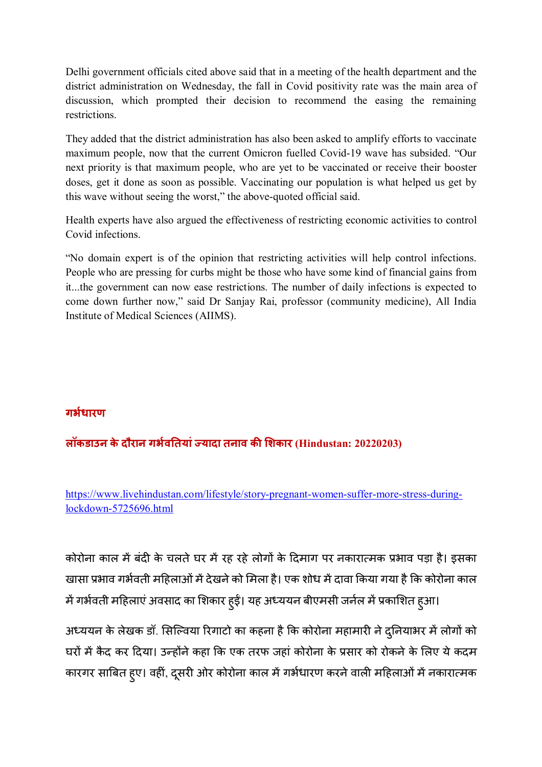Delhi government officials cited above said that in a meeting of the health department and the district administration on Wednesday, the fall in Covid positivity rate was the main area of discussion, which prompted their decision to recommend the easing the remaining restrictions.

They added that the district administration has also been asked to amplify efforts to vaccinate maximum people, now that the current Omicron fuelled Covid-19 wave has subsided. "Our next priority is that maximum people, who are yet to be vaccinated or receive their booster doses, get it done as soon as possible. Vaccinating our population is what helped us get by this wave without seeing the worst," the above-quoted official said.

Health experts have also argued the effectiveness of restricting economic activities to control Covid infections.

"No domain expert is of the opinion that restricting activities will help control infections. People who are pressing for curbs might be those who have some kind of financial gains from it...the government can now ease restrictions. The number of daily infections is expected to come down further now," said Dr Sanjay Rai, professor (community medicine), All India Institute of Medical Sciences (AIIMS).

# **गभधारण**

## **लॉकडाउन के दौरान गभव\$तयां'यादा तनाव क (शकार (Hindustan: 20220203)**

https://www.livehindustan.com/lifestyle/story-pregnant-women-suffer-more-stress-duringlockdown-5725696.html

कोरोना काल में बदी के चलते घर में रह रहे लोगों के दिमाग पर नकारात्मक प्रभाव पड़ा है। इसका खासा प्रभाव गर्भवती महिलाओं में देखने को मिला है। एक शोध में दावा किया गया है कि कोरोना काल में गर्भवती महिलाएं अवसाद का शिकार हुईं। यह अध्ययन बीएमसी जनेल में प्रकाशित हुआ।

अध्ययन के लेखक डॉ. सिल्विया रिगाटो का कहना है कि कोरोना महामारी ने दुनियाभर में लोगों को घरों में कैद कर दिया। उन्होंने कहा कि एक तरफ जहां कोरोना के प्रसार को रोकने के लिए ये कदम कारगर साबित हुए। वहीं, दूसरी ओर कोरोना काल में गर्भधारण करने वाली महिलाओं में नकारात्मक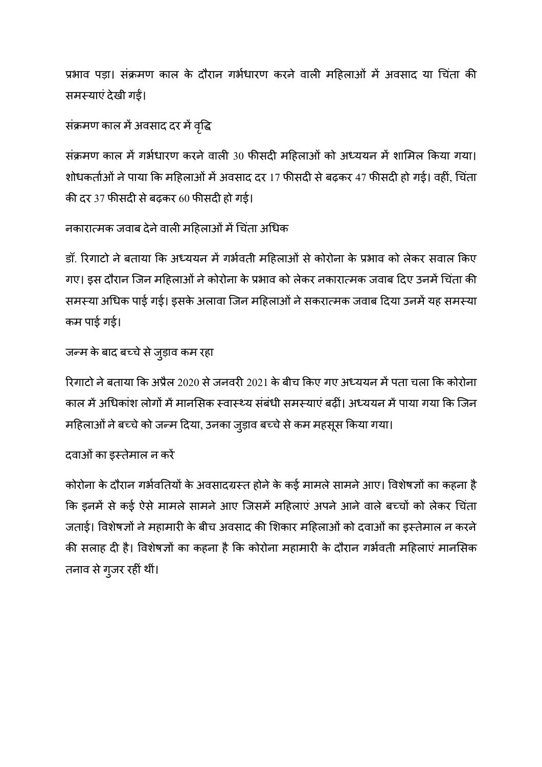प्रभाव पड़ा। सक्रमण काल के दौरान गर्भधारण करने वाली महिलाओं में अवसाद या चिंता की समस्याएं देखी गईं।

# संक्रमण काल में अवसाद दर में वृद्धि

सक्रमण काल में गभेधारण करने वाली 30 फीसदी महिलाओं को अध्ययन में शामिल किया गया। शोधकतोओं ने पाया कि महिलाओं में अवसाद दर 17 फीसदी से बढ़कर 47 फीसदी हो गई। वहीं, चिता की दर 37 फीसदी से बढ़कर 60 फीसदी हो गई।

# नकारात्मक जवाब देने वाली महिलाओं में चिता अधिक

डॉ. रिगाटो ने बताया कि अध्ययन में गर्भवती महिलाओं से कोरोना के प्रभाव को लेकर सवाल किए गए। इस दौरान जिन महिलाओं ने कोरोना के प्रभाव को लेकर नकारात्मक जवाब दिए उनमें चिता की समस्या अधिक पाई गई। इसके अलावा जिन महिलाओं ने सकरात्मक जवाब दिया उनमें यह समस्या कम पाई गई।

# जन्म के बाद बच्चे से जुड़ाव कम रहा

रिगाटो ने बताया कि अप्रैल 2020 से जनवरी 2021 के बीच किए गए अध्ययन में पता चला कि कोरोना काल में अधिकांश लोगों में मानसिक स्वास्थ्य संबंधी समस्याएं बढीं। अध्ययन में पाया गया कि जिन महिलाओं ने बच्चे को जन्म दिया, उनका जुड़ाव बच्चे से कम महसूस किया गया।

# दवाओं का इस्तेमाल न करें

कोरोना के दौरान गर्भवतियों के अवसादग्रस्त होने के कई मामले सामने आए। विशेषज्ञों का कहना है कि इनमें से कई ऐसे मामले सामने आए जिसमें महिलाए अपने आने वाले बच्चों को लेकर चिता जताई। विशेषज्ञों ने महामारी के बीच अवसाद की शिकार महिलाओं को दवाओं का इस्तेमाल न करने की सलाह दी है। विशेषज्ञों का कहना है कि कोरोना महामारी के दौरान गभेवती महिलाएं मानसिक तनाव से गुजर रहीं थीं।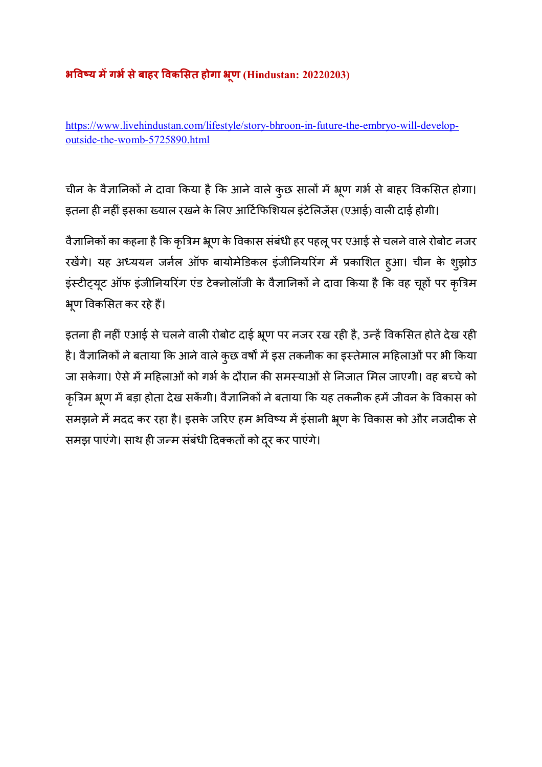# **भ\*व+य मगभसेबाहर \*वक(सत होगा -ूण (Hindustan: 20220203)**

https://www.livehindustan.com/lifestyle/story-bhroon-in-future-the-embryo-will-developoutside-the-womb-5725890.html

चीन के वैज्ञानिकों ने दावा किया है कि आने वाले कुछ सालों में भ्रूण गर्भ से बाहर विकसित होगा। इतना ही नहीं इसका ख्याल रखने के लिए आर्टिफिशियल इटेलिजेस (एआई) वाली दाई होगी।

वैज्ञानिकों का कहना है कि कृत्रिम भ्रूण के विकास संबंधी हर पहलू पर एआई से चलने वाले रोबोट नजर रखेंगे। यह अध्ययन जर्नल ऑफ बायोमेडिकल इंजीनियरिंग में प्रकाशित हुआ। चीन के शुझोउ इंस्टीट्यूट ऑफ इंजीनियरिंग एंड टेक्नोलॉजी के वैज्ञानिकों ने दावा किया है कि वह चूहों पर कृत्रिम भूण विकसित कर रहे हैं।

इतना ही नहीं एआई से चलने वाली रोबोट दाई भ्रूण पर नजर रख रही है, उन्हें विकसित होते देख रही है। वैज्ञानिकों ने बताया कि आने वाले कुछ वर्षों में इस तकनीक का इस्तेमाल महिलाओं पर भी किया जा सकेगा। ऐसे में महिलाओं को गर्भ के दौरान की समस्याओं से निजात मिल जाएगी। वह बच्चे को कृत्रिम भ्रूण में बड़ा होता देख सकेंगी। वैज्ञानिकों ने बताया कि यह तकनीक हमें जीवन के विकास को समझने में मदद कर रहा है। इसके जरिए हम भविष्य में इंसानी भ्रूण के विकास को और नजदीक से समझ पाएंगे। साथ ही जन्म संबंधी दिक्कतों को दूर कर पाएंगे।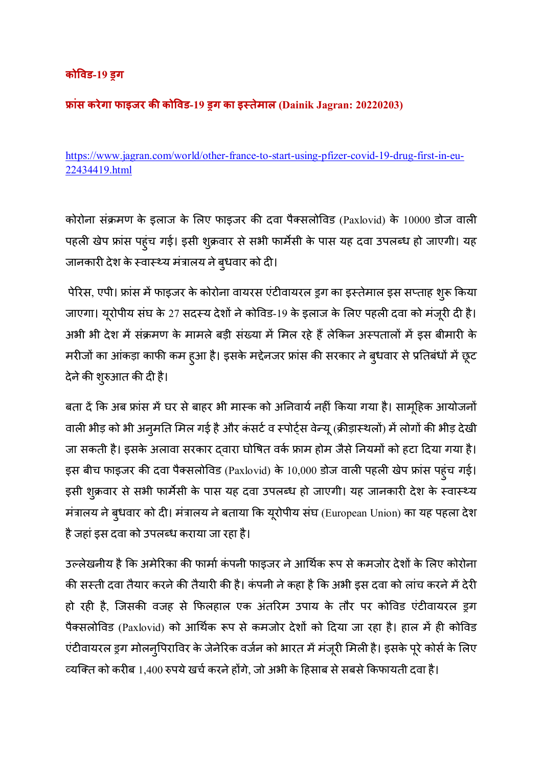## **को\*वड-19 /ग**

# **0ांस करेगा फाइजर क को\*वड-19 /ग का इ4तेमाल (Dainik Jagran: 20220203)**

https://www.jagran.com/world/other-france-to-start-using-pfizer-covid-19-drug-first-in-eu-22434419.html

कोरोना संक्रमण के इलाज के लिए फाइजर की दवा पैक्सलोविड (Paxlovid) के 10000 डोज वाली पहली खेप फ्रांस पहुंच गई। इसी शुक्रवार से सभी फार्मेसी के पास यह दवा उपलब्ध हो जाएगी। यह जानकारी देश के स्वास्थ्य मंत्रालय ने बुधवार को दी।

पेरिस, एपी। फ्रांस में फाइजर के कोरोना वायरस एंटीवायरल ड्रग का इस्तेमाल इस सप्ताह शुरू किया जाएगा। यूरोपीय संघ के 27 सदस्य देशों ने कोविड-19 के इलाज के लिए पहली दवा को मंजूरी दी है। अभी भी देश में संक्रमण के मामले बड़ी संख्या में मिल रहे हैं लेकिन अस्पतालों में इस बीमारी के मरीजों का आंकड़ा काफी कम हुआ है। इसके मद्देनजर फ्रांस की सरकार ने बुधवार से प्रतिबंधों में छूट देने की शुरुआत की दी है।

बता दे कि अब फ्रास में घर से बाहर भी मास्क को अनिवाये नहीं किया गया है। सामूहिक आयोजनो वाली भीड़ को भी अनुमति मिल गई है और कंसर्ट व स्पोर्ट्स वेन्यू (क्रीड़ास्थलों) में लोगों की भीड़ देखी जा सकती है। इसके अलावा सरकार द्वारा घोषित वर्क फ्राम होम जैसे नियमों को हटा दिया गया है। इस बीच फाइजर की दवा पैक्सलोविड (Paxlovid) के 10,000 डोज वाली पहली खेप फ्रांस पहुंच गई। इसी शुक्रवार से सभी फार्मेसी के पास यह दवा उपलब्ध हो जाएगी। यह जानकारी देश के स्वास्थ्य मंत्रालय ने बुधवार को दी। मंत्रालय ने बताया कि यूरोपीय संघ (European Union) का यह पहला देश हैजहांइस दवा को उपलaध कराया जा रहा है।

उल्लेखनीय है कि अमेरिका की फार्मा कंपनी फाइजर ने आर्थिक रूप से कमजोर देशों के लिए कोरोना की सस्ती दवा तैयार करने की तैयारी की है। कंपनी ने कहा है कि अभी इस दवा को लांच करने में देरी हो रही है, जिसकी वजह से फिलहाल एक अंतरिम उपाय के तौर पर कोविड एंटीवायरल ड्रग पैक्सलोविड (Paxlovid) को आर्थिक रूप से कमजोर देशों को दिया जा रहा है। हाल में ही कोविड एंटीवायरल ड्रग मोलन्पिराविर के जेनेरिक वर्जन को भारत में मंजूरी मिली है। इसके पूरे कोर्स के लिए व्यक्ति को करीब 1,400 रुपये खर्च करने होगे, जो अभी के हिसाब से सबसे किफायती दवा है।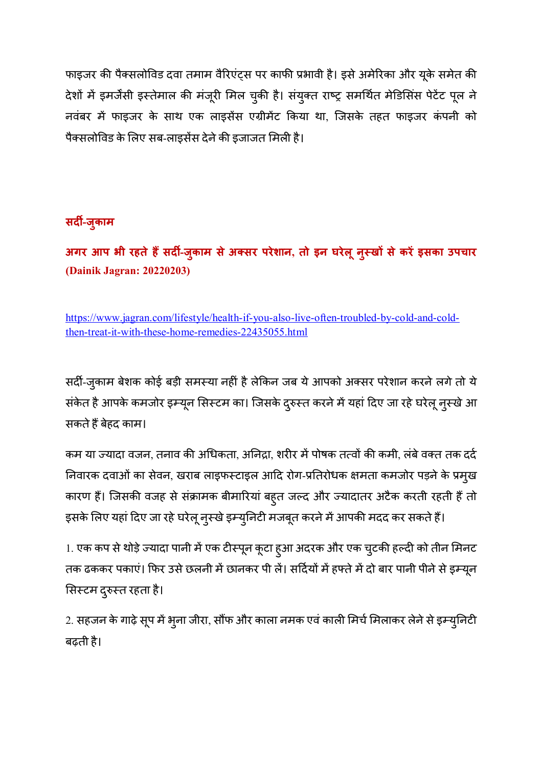फाइजर की पैक्सलोविड दवा तमाम वैरिएंट्स पर काफी प्रभावी है। इसे अमेरिका और यूके समेत की देशों में इमर्जेंसी इस्तेमाल की मंजूरी मिल चुकी है। संयुक्त राष्ट्र समर्थित मेडिसिंस पेटेंट पूल ने नवंबर में फाइजर के साथ एक लाइसेंस एग्रीमेंट किया था, जिसके तहत फाइजर कंपनी को पैक्सलोविड के लिए सब-लाइसेंस देने की इजाजत मिली है।

# **सद5-जुकाम**

**अगर आप भी रहतेह9सद5-जुकाम सेअसर परेशान, तो इन घरेलूनु4ख; सेकरइसका उपचार (Dainik Jagran: 20220203)** 

https://www.jagran.com/lifestyle/health-if-you-also-live-often-troubled-by-cold-and-coldthen-treat-it-with-these-home-remedies-22435055.html

सर्दी-जुकाम बेशक कोई बड़ी समस्या नहीं है लेकिन जब ये आपको अक्सर परेशान करने लगे तो ये सर्कत है आपके कमजोर इम्यून सिस्टम का। जिसके दुरुस्त करने में यहां दिए जा रहे घरेलू नुस्खे आ सकतेह<बेहद काम।

कम या ज्यादा वजन, तनाव की अधिकता, अनिद्रा, शरीर में पोषक तत्वों की कमी, लंबे वक्त तक दर्द निवारक दवाओं का सेवन, खराब लाइफर्न्टाइल आदि रोग-प्रतिरोधक क्षमता कमजोर पड़ने के प्रमुख कारण हैं। जिसकी वजह से संक्रामक बीमारियां बहुत जल्द और ज्यादातर अटैक करती रहती हैं तो इसके लिए यहां दिए जा रहे घरेलू नुस्खे इम्युनिटी मजबूत करने में आपकी मदद कर सकते हैं।

1. एक कप से थोड़े ज्यादा पानी में एक टीस्पून कूटा हुआ अदरक और एक चुटकी हल्दी को तीन मिनट तक ढककर पकाए। फिर उसे छलनी में छानकर पी ले। सदियों में हफ्ते में दो बार पानी पीने से इम्यून सिस्टम दुरुस्त रहता है।

2. सहजन के गाढ़े सूप में भुना जीरा, सौंफ और काला नमक एवं काली मिर्च मिलाकर लेने से इम्युनिटी बढ़ती है।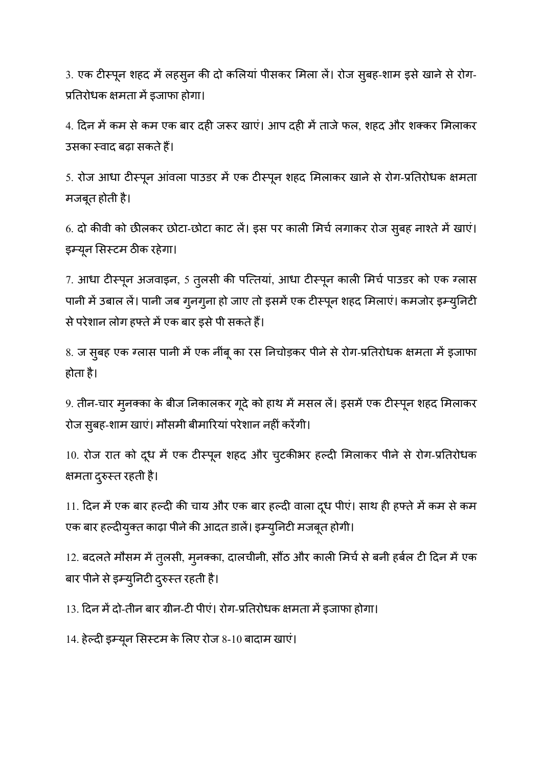3. एक टीस्पून शहद में लहसून की दो कलियां पीसकर मिला लें। रोज सुबह-शाम इसे खाने से रोग-प्रतिरोधक क्षमता में इजाफा होगा।

4. दिन में कम से कम एक बार दही जरूर खाएं। आप दही में ताजे फल, शहद और शक्कर मिलाकर उसका स्वाद बढ़ा सकते हैं।

5. रोज आधा टीस्पून आंवला पाउडर में एक टीस्पून शहद मिलाकर खाने से रोग-प्रतिरोधक क्षमता मजबूत होती है।

6. दो कीवी को छीलकर छोटा-छोटा काट लें। इस पर काली मिर्च लगाकर रोज सुबह नाश्ते में खाएं। इम्यून सिस्टम ठीक रहेगा।

7. आधा टीरूपून अजवाइन, 5 तुलसी की पत्तियां, आधा टीरूपून काली मिर्च पाउडर को एक ग्लास पानी में उबाल लें। पानी जब गुनगुना हो जाए तो इसमें एक टीस्पून शहद मिलाएं। कमजोर इम्युनिटी से परेशान लोग हफ्ते में एक बार इसे पी सकते हैं।

8. ज सुबह एक ग्लास पानी में एक नींबू का रस निचोड़कर पीने से रोग-प्रतिरोधक क्षमता में इजाफा होता है।

9. तीन-चार मुनक्का के बीज निकालकर गूदे को हाथ में मसल लें। इसमें एक टीस्पून शहद मिलाकर रोज सुबह-शाम खाएं। मौसमी बीमारियां परेशान नहीं करेंगी।

10. रोज रात को दूध में एक टीस्पून शहद और चुटकीभर हल्दी मिलाकर पीने से रोग-प्रतिरोधक क्षमता दुरुस्त रहती है।

11. दिन में एक बार हल्दी की चाय और एक बार हल्दी वाला दूध पीए। साथ ही हफ्ते में कम से कम एक बार हल्दीयुक्त काढ़ा पीने की आदत डालें। इम्युनिटी मजबूत होगी।

12. बदलते मौसम में तुलसी, मुनक्का, दालचीनी, सौठ और काली मिचे से बनी हबेल टी दिन में एक बार पीने से इम्युनिटी दुरुस्त रहती है।

13. दिन में दो-तीन बार ग्रीन-टी पीए। रोग-प्रतिरोधक क्षमता में इजाफा होगा।

14. हेल्दी इम्यून सिस्टम के लिए रोज 8-10 बादाम खाएं।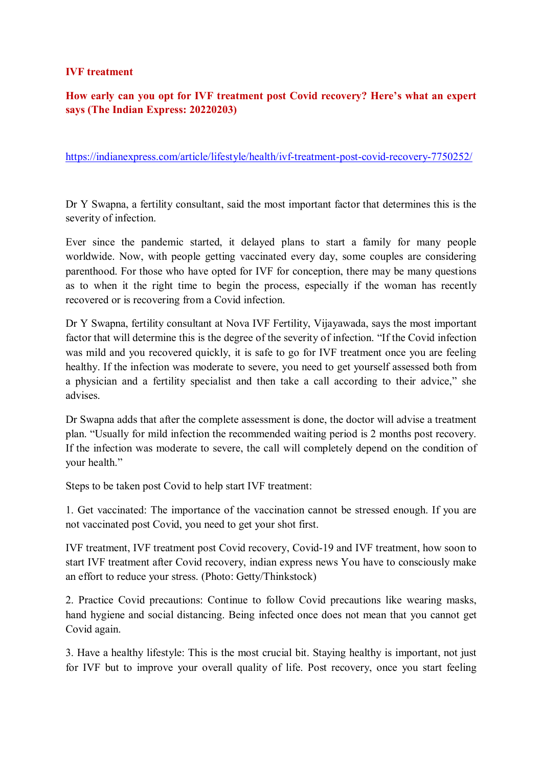#### **IVF treatment**

# **How early can you opt for IVF treatment post Covid recovery? Here's what an expert says (The Indian Express: 20220203)**

https://indianexpress.com/article/lifestyle/health/ivf-treatment-post-covid-recovery-7750252/

Dr Y Swapna, a fertility consultant, said the most important factor that determines this is the severity of infection.

Ever since the pandemic started, it delayed plans to start a family for many people worldwide. Now, with people getting vaccinated every day, some couples are considering parenthood. For those who have opted for IVF for conception, there may be many questions as to when it the right time to begin the process, especially if the woman has recently recovered or is recovering from a Covid infection.

Dr Y Swapna, fertility consultant at Nova IVF Fertility, Vijayawada, says the most important factor that will determine this is the degree of the severity of infection. "If the Covid infection was mild and you recovered quickly, it is safe to go for IVF treatment once you are feeling healthy. If the infection was moderate to severe, you need to get yourself assessed both from a physician and a fertility specialist and then take a call according to their advice," she advises.

Dr Swapna adds that after the complete assessment is done, the doctor will advise a treatment plan. "Usually for mild infection the recommended waiting period is 2 months post recovery. If the infection was moderate to severe, the call will completely depend on the condition of your health."

Steps to be taken post Covid to help start IVF treatment:

1. Get vaccinated: The importance of the vaccination cannot be stressed enough. If you are not vaccinated post Covid, you need to get your shot first.

IVF treatment, IVF treatment post Covid recovery, Covid-19 and IVF treatment, how soon to start IVF treatment after Covid recovery, indian express news You have to consciously make an effort to reduce your stress. (Photo: Getty/Thinkstock)

2. Practice Covid precautions: Continue to follow Covid precautions like wearing masks, hand hygiene and social distancing. Being infected once does not mean that you cannot get Covid again.

3. Have a healthy lifestyle: This is the most crucial bit. Staying healthy is important, not just for IVF but to improve your overall quality of life. Post recovery, once you start feeling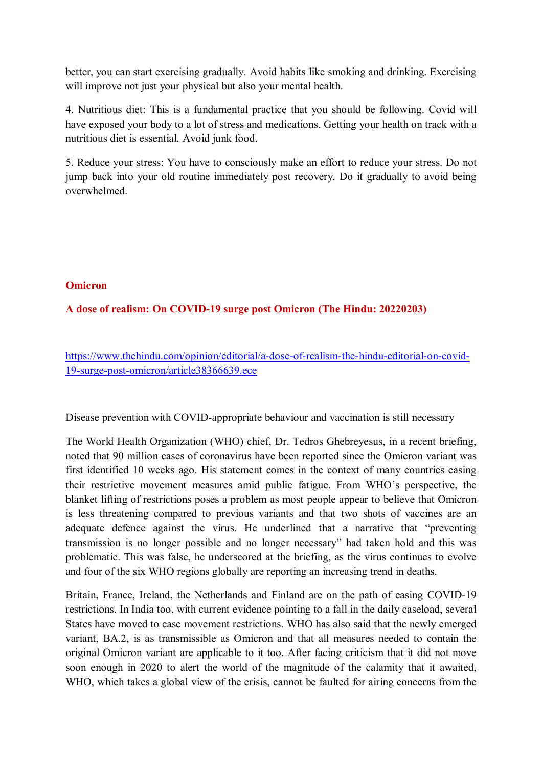better, you can start exercising gradually. Avoid habits like smoking and drinking. Exercising will improve not just your physical but also your mental health.

4. Nutritious diet: This is a fundamental practice that you should be following. Covid will have exposed your body to a lot of stress and medications. Getting your health on track with a nutritious diet is essential. Avoid junk food.

5. Reduce your stress: You have to consciously make an effort to reduce your stress. Do not jump back into your old routine immediately post recovery. Do it gradually to avoid being overwhelmed.

#### **Omicron**

## **A dose of realism: On COVID-19 surge post Omicron (The Hindu: 20220203)**

https://www.thehindu.com/opinion/editorial/a-dose-of-realism-the-hindu-editorial-on-covid-19-surge-post-omicron/article38366639.ece

Disease prevention with COVID-appropriate behaviour and vaccination is still necessary

The World Health Organization (WHO) chief, Dr. Tedros Ghebreyesus, in a recent briefing, noted that 90 million cases of coronavirus have been reported since the Omicron variant was first identified 10 weeks ago. His statement comes in the context of many countries easing their restrictive movement measures amid public fatigue. From WHO's perspective, the blanket lifting of restrictions poses a problem as most people appear to believe that Omicron is less threatening compared to previous variants and that two shots of vaccines are an adequate defence against the virus. He underlined that a narrative that "preventing transmission is no longer possible and no longer necessary" had taken hold and this was problematic. This was false, he underscored at the briefing, as the virus continues to evolve and four of the six WHO regions globally are reporting an increasing trend in deaths.

Britain, France, Ireland, the Netherlands and Finland are on the path of easing COVID-19 restrictions. In India too, with current evidence pointing to a fall in the daily caseload, several States have moved to ease movement restrictions. WHO has also said that the newly emerged variant, BA.2, is as transmissible as Omicron and that all measures needed to contain the original Omicron variant are applicable to it too. After facing criticism that it did not move soon enough in 2020 to alert the world of the magnitude of the calamity that it awaited, WHO, which takes a global view of the crisis, cannot be faulted for airing concerns from the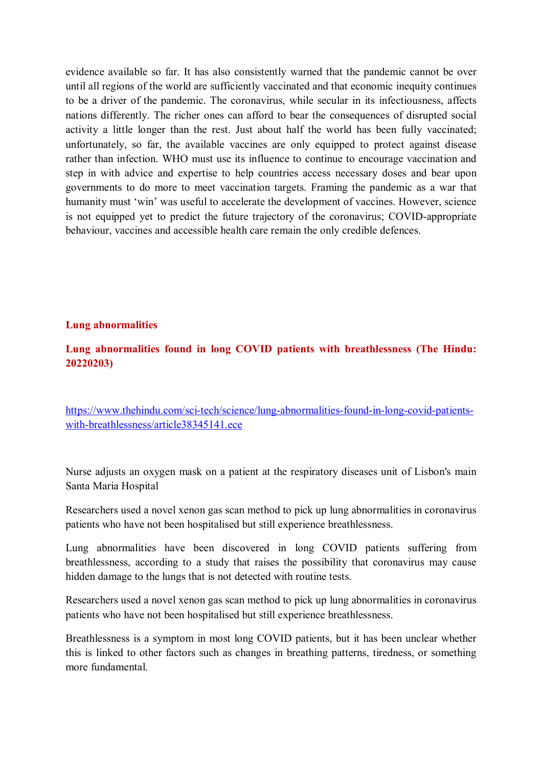evidence available so far. It has also consistently warned that the pandemic cannot be over until all regions of the world are sufficiently vaccinated and that economic inequity continues to be a driver of the pandemic. The coronavirus, while secular in its infectiousness, affects nations differently. The richer ones can afford to bear the consequences of disrupted social activity a little longer than the rest. Just about half the world has been fully vaccinated; unfortunately, so far, the available vaccines are only equipped to protect against disease rather than infection. WHO must use its influence to continue to encourage vaccination and step in with advice and expertise to help countries access necessary doses and bear upon governments to do more to meet vaccination targets. Framing the pandemic as a war that humanity must 'win' was useful to accelerate the development of vaccines. However, science is not equipped yet to predict the future trajectory of the coronavirus; COVID-appropriate behaviour, vaccines and accessible health care remain the only credible defences.

#### **Lung abnormalities**

## **Lung abnormalities found in long COVID patients with breathlessness (The Hindu: 20220203)**

https://www.thehindu.com/sci-tech/science/lung-abnormalities-found-in-long-covid-patientswith-breathlessness/article38345141.ece

Nurse adjusts an oxygen mask on a patient at the respiratory diseases unit of Lisbon's main Santa Maria Hospital

Researchers used a novel xenon gas scan method to pick up lung abnormalities in coronavirus patients who have not been hospitalised but still experience breathlessness.

Lung abnormalities have been discovered in long COVID patients suffering from breathlessness, according to a study that raises the possibility that coronavirus may cause hidden damage to the lungs that is not detected with routine tests.

Researchers used a novel xenon gas scan method to pick up lung abnormalities in coronavirus patients who have not been hospitalised but still experience breathlessness.

Breathlessness is a symptom in most long COVID patients, but it has been unclear whether this is linked to other factors such as changes in breathing patterns, tiredness, or something more fundamental.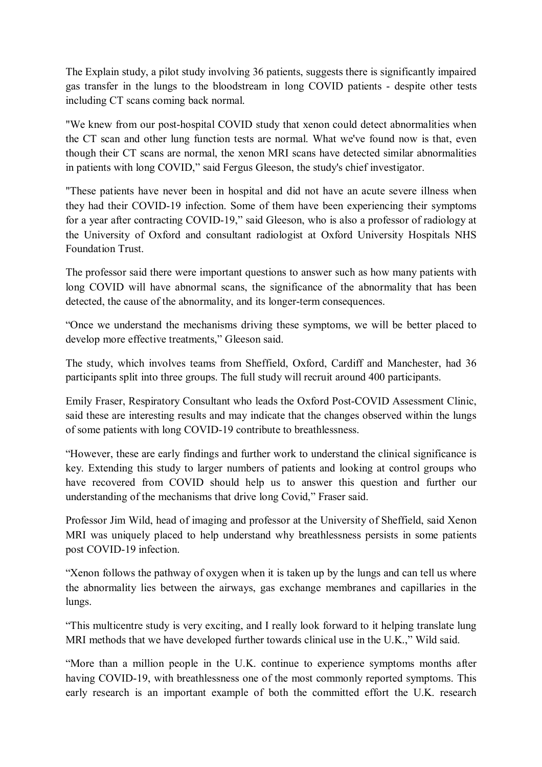The Explain study, a pilot study involving 36 patients, suggests there is significantly impaired gas transfer in the lungs to the bloodstream in long COVID patients - despite other tests including CT scans coming back normal.

"We knew from our post-hospital COVID study that xenon could detect abnormalities when the CT scan and other lung function tests are normal. What we've found now is that, even though their CT scans are normal, the xenon MRI scans have detected similar abnormalities in patients with long COVID," said Fergus Gleeson, the study's chief investigator.

"These patients have never been in hospital and did not have an acute severe illness when they had their COVID-19 infection. Some of them have been experiencing their symptoms for a year after contracting COVID-19," said Gleeson, who is also a professor of radiology at the University of Oxford and consultant radiologist at Oxford University Hospitals NHS Foundation Trust.

The professor said there were important questions to answer such as how many patients with long COVID will have abnormal scans, the significance of the abnormality that has been detected, the cause of the abnormality, and its longer-term consequences.

"Once we understand the mechanisms driving these symptoms, we will be better placed to develop more effective treatments," Gleeson said.

The study, which involves teams from Sheffield, Oxford, Cardiff and Manchester, had 36 participants split into three groups. The full study will recruit around 400 participants.

Emily Fraser, Respiratory Consultant who leads the Oxford Post-COVID Assessment Clinic, said these are interesting results and may indicate that the changes observed within the lungs of some patients with long COVID-19 contribute to breathlessness.

"However, these are early findings and further work to understand the clinical significance is key. Extending this study to larger numbers of patients and looking at control groups who have recovered from COVID should help us to answer this question and further our understanding of the mechanisms that drive long Covid," Fraser said.

Professor Jim Wild, head of imaging and professor at the University of Sheffield, said Xenon MRI was uniquely placed to help understand why breathlessness persists in some patients post COVID-19 infection.

"Xenon follows the pathway of oxygen when it is taken up by the lungs and can tell us where the abnormality lies between the airways, gas exchange membranes and capillaries in the lungs.

"This multicentre study is very exciting, and I really look forward to it helping translate lung MRI methods that we have developed further towards clinical use in the U.K.," Wild said.

"More than a million people in the U.K. continue to experience symptoms months after having COVID-19, with breathlessness one of the most commonly reported symptoms. This early research is an important example of both the committed effort the U.K. research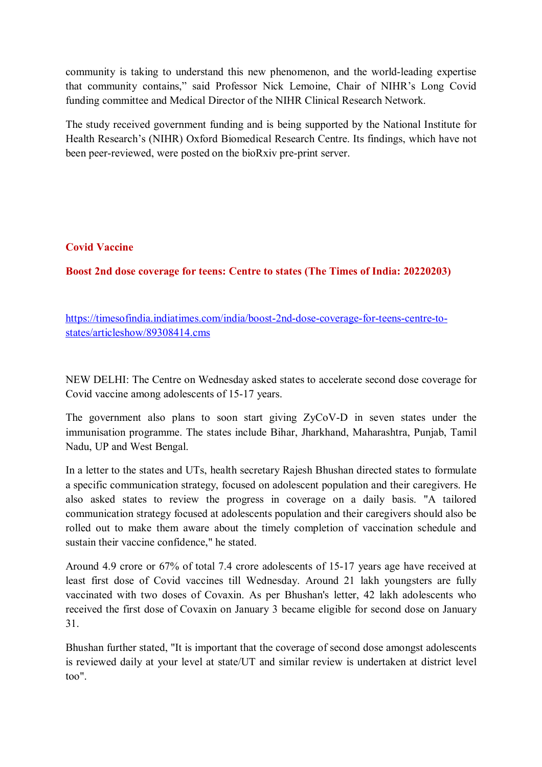community is taking to understand this new phenomenon, and the world-leading expertise that community contains," said Professor Nick Lemoine, Chair of NIHR's Long Covid funding committee and Medical Director of the NIHR Clinical Research Network.

The study received government funding and is being supported by the National Institute for Health Research's (NIHR) Oxford Biomedical Research Centre. Its findings, which have not been peer-reviewed, were posted on the bioRxiv pre-print server.

## **Covid Vaccine**

**Boost 2nd dose coverage for teens: Centre to states (The Times of India: 20220203)** 

https://timesofindia.indiatimes.com/india/boost-2nd-dose-coverage-for-teens-centre-tostates/articleshow/89308414.cms

NEW DELHI: The Centre on Wednesday asked states to accelerate second dose coverage for Covid vaccine among adolescents of 15-17 years.

The government also plans to soon start giving ZyCoV-D in seven states under the immunisation programme. The states include Bihar, Jharkhand, Maharashtra, Punjab, Tamil Nadu, UP and West Bengal.

In a letter to the states and UTs, health secretary Rajesh Bhushan directed states to formulate a specific communication strategy, focused on adolescent population and their caregivers. He also asked states to review the progress in coverage on a daily basis. "A tailored communication strategy focused at adolescents population and their caregivers should also be rolled out to make them aware about the timely completion of vaccination schedule and sustain their vaccine confidence," he stated.

Around 4.9 crore or 67% of total 7.4 crore adolescents of 15-17 years age have received at least first dose of Covid vaccines till Wednesday. Around 21 lakh youngsters are fully vaccinated with two doses of Covaxin. As per Bhushan's letter, 42 lakh adolescents who received the first dose of Covaxin on January 3 became eligible for second dose on January 31.

Bhushan further stated, "It is important that the coverage of second dose amongst adolescents is reviewed daily at your level at state/UT and similar review is undertaken at district level too".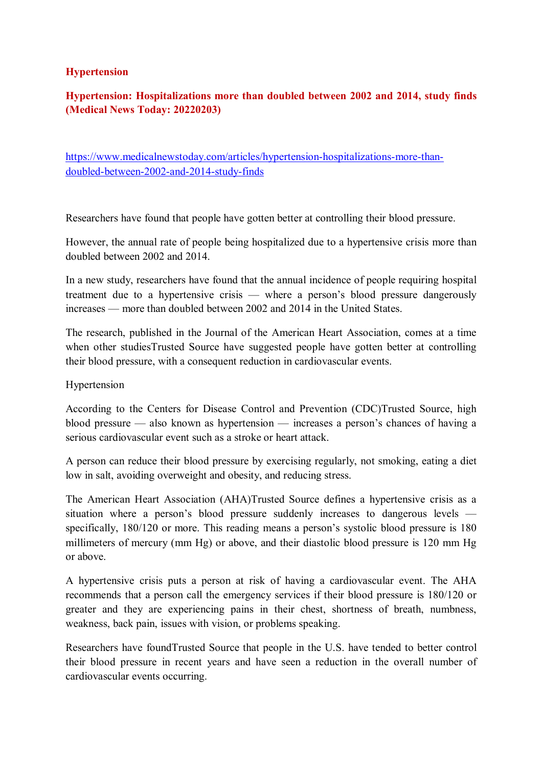#### **Hypertension**

# **Hypertension: Hospitalizations more than doubled between 2002 and 2014, study finds (Medical News Today: 20220203)**

https://www.medicalnewstoday.com/articles/hypertension-hospitalizations-more-thandoubled-between-2002-and-2014-study-finds

Researchers have found that people have gotten better at controlling their blood pressure.

However, the annual rate of people being hospitalized due to a hypertensive crisis more than doubled between 2002 and 2014.

In a new study, researchers have found that the annual incidence of people requiring hospital treatment due to a hypertensive crisis — where a person's blood pressure dangerously increases — more than doubled between 2002 and 2014 in the United States.

The research, published in the Journal of the American Heart Association, comes at a time when other studiesTrusted Source have suggested people have gotten better at controlling their blood pressure, with a consequent reduction in cardiovascular events.

#### Hypertension

According to the Centers for Disease Control and Prevention (CDC)Trusted Source, high blood pressure — also known as hypertension — increases a person's chances of having a serious cardiovascular event such as a stroke or heart attack.

A person can reduce their blood pressure by exercising regularly, not smoking, eating a diet low in salt, avoiding overweight and obesity, and reducing stress.

The American Heart Association (AHA)Trusted Source defines a hypertensive crisis as a situation where a person's blood pressure suddenly increases to dangerous levels specifically, 180/120 or more. This reading means a person's systolic blood pressure is 180 millimeters of mercury (mm Hg) or above, and their diastolic blood pressure is 120 mm Hg or above.

A hypertensive crisis puts a person at risk of having a cardiovascular event. The AHA recommends that a person call the emergency services if their blood pressure is 180/120 or greater and they are experiencing pains in their chest, shortness of breath, numbness, weakness, back pain, issues with vision, or problems speaking.

Researchers have foundTrusted Source that people in the U.S. have tended to better control their blood pressure in recent years and have seen a reduction in the overall number of cardiovascular events occurring.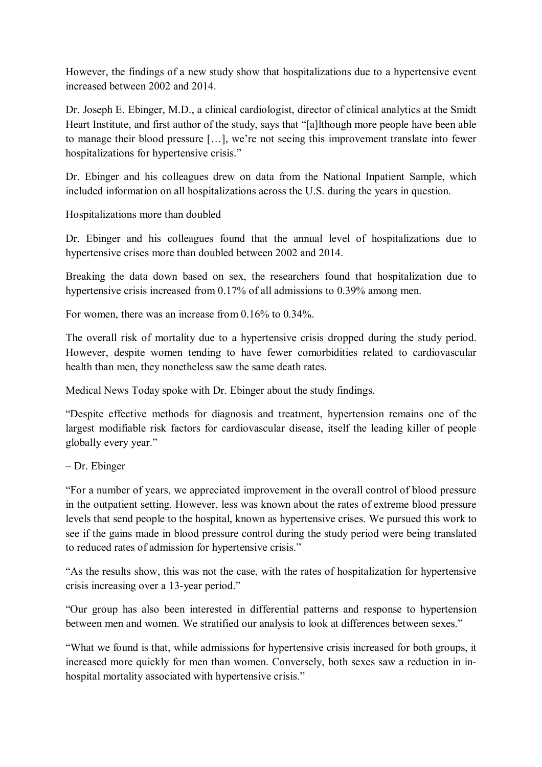However, the findings of a new study show that hospitalizations due to a hypertensive event increased between 2002 and 2014.

Dr. Joseph E. Ebinger, M.D., a clinical cardiologist, director of clinical analytics at the Smidt Heart Institute, and first author of the study, says that "[a]lthough more people have been able to manage their blood pressure […], we're not seeing this improvement translate into fewer hospitalizations for hypertensive crisis."

Dr. Ebinger and his colleagues drew on data from the National Inpatient Sample, which included information on all hospitalizations across the U.S. during the years in question.

Hospitalizations more than doubled

Dr. Ebinger and his colleagues found that the annual level of hospitalizations due to hypertensive crises more than doubled between 2002 and 2014.

Breaking the data down based on sex, the researchers found that hospitalization due to hypertensive crisis increased from 0.17% of all admissions to 0.39% among men.

For women, there was an increase from 0.16% to 0.34%.

The overall risk of mortality due to a hypertensive crisis dropped during the study period. However, despite women tending to have fewer comorbidities related to cardiovascular health than men, they nonetheless saw the same death rates.

Medical News Today spoke with Dr. Ebinger about the study findings.

"Despite effective methods for diagnosis and treatment, hypertension remains one of the largest modifiable risk factors for cardiovascular disease, itself the leading killer of people globally every year."

– Dr. Ebinger

"For a number of years, we appreciated improvement in the overall control of blood pressure in the outpatient setting. However, less was known about the rates of extreme blood pressure levels that send people to the hospital, known as hypertensive crises. We pursued this work to see if the gains made in blood pressure control during the study period were being translated to reduced rates of admission for hypertensive crisis."

"As the results show, this was not the case, with the rates of hospitalization for hypertensive crisis increasing over a 13-year period."

"Our group has also been interested in differential patterns and response to hypertension between men and women. We stratified our analysis to look at differences between sexes."

"What we found is that, while admissions for hypertensive crisis increased for both groups, it increased more quickly for men than women. Conversely, both sexes saw a reduction in inhospital mortality associated with hypertensive crisis."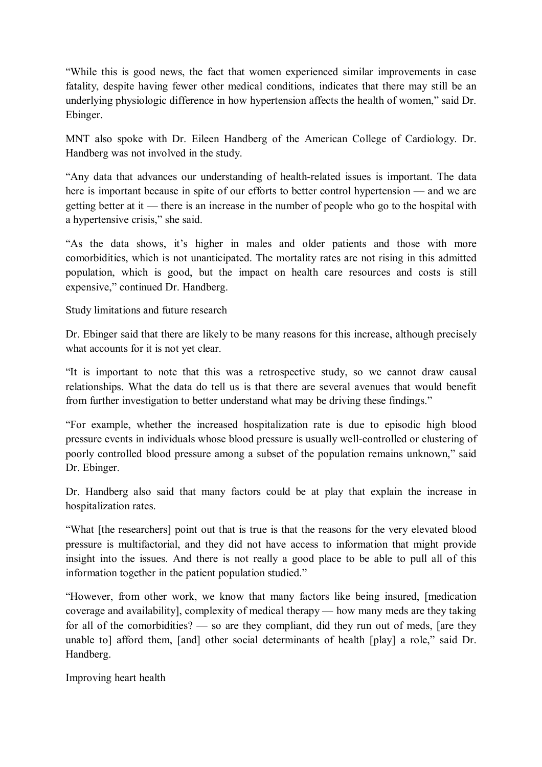"While this is good news, the fact that women experienced similar improvements in case fatality, despite having fewer other medical conditions, indicates that there may still be an underlying physiologic difference in how hypertension affects the health of women," said Dr. Ebinger.

MNT also spoke with Dr. Eileen Handberg of the American College of Cardiology. Dr. Handberg was not involved in the study.

"Any data that advances our understanding of health-related issues is important. The data here is important because in spite of our efforts to better control hypertension — and we are getting better at it — there is an increase in the number of people who go to the hospital with a hypertensive crisis," she said.

"As the data shows, it's higher in males and older patients and those with more comorbidities, which is not unanticipated. The mortality rates are not rising in this admitted population, which is good, but the impact on health care resources and costs is still expensive," continued Dr. Handberg.

Study limitations and future research

Dr. Ebinger said that there are likely to be many reasons for this increase, although precisely what accounts for it is not yet clear.

"It is important to note that this was a retrospective study, so we cannot draw causal relationships. What the data do tell us is that there are several avenues that would benefit from further investigation to better understand what may be driving these findings."

"For example, whether the increased hospitalization rate is due to episodic high blood pressure events in individuals whose blood pressure is usually well-controlled or clustering of poorly controlled blood pressure among a subset of the population remains unknown," said Dr. Ebinger.

Dr. Handberg also said that many factors could be at play that explain the increase in hospitalization rates.

"What [the researchers] point out that is true is that the reasons for the very elevated blood pressure is multifactorial, and they did not have access to information that might provide insight into the issues. And there is not really a good place to be able to pull all of this information together in the patient population studied."

"However, from other work, we know that many factors like being insured, [medication coverage and availability], complexity of medical therapy — how many meds are they taking for all of the comorbidities? — so are they compliant, did they run out of meds, [are they unable to] afford them, [and] other social determinants of health [play] a role," said Dr. Handberg.

Improving heart health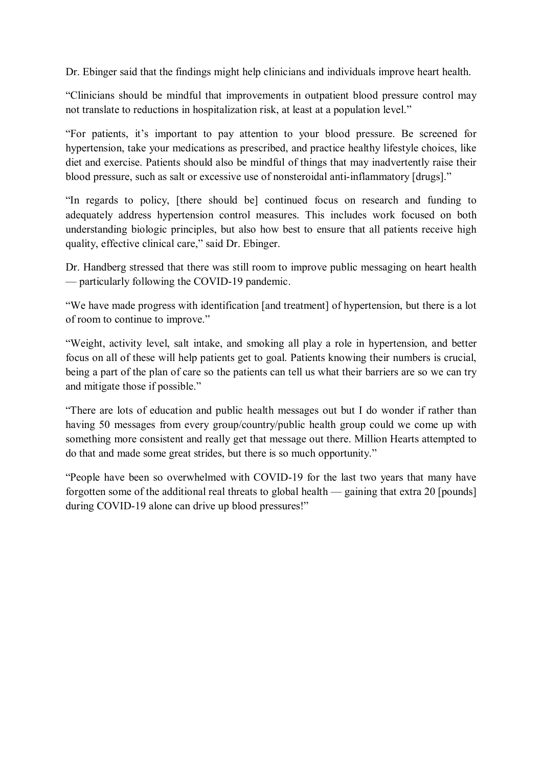Dr. Ebinger said that the findings might help clinicians and individuals improve heart health.

"Clinicians should be mindful that improvements in outpatient blood pressure control may not translate to reductions in hospitalization risk, at least at a population level."

"For patients, it's important to pay attention to your blood pressure. Be screened for hypertension, take your medications as prescribed, and practice healthy lifestyle choices, like diet and exercise. Patients should also be mindful of things that may inadvertently raise their blood pressure, such as salt or excessive use of nonsteroidal anti-inflammatory [drugs]."

"In regards to policy, [there should be] continued focus on research and funding to adequately address hypertension control measures. This includes work focused on both understanding biologic principles, but also how best to ensure that all patients receive high quality, effective clinical care," said Dr. Ebinger.

Dr. Handberg stressed that there was still room to improve public messaging on heart health — particularly following the COVID-19 pandemic.

"We have made progress with identification [and treatment] of hypertension, but there is a lot of room to continue to improve."

"Weight, activity level, salt intake, and smoking all play a role in hypertension, and better focus on all of these will help patients get to goal. Patients knowing their numbers is crucial, being a part of the plan of care so the patients can tell us what their barriers are so we can try and mitigate those if possible."

"There are lots of education and public health messages out but I do wonder if rather than having 50 messages from every group/country/public health group could we come up with something more consistent and really get that message out there. Million Hearts attempted to do that and made some great strides, but there is so much opportunity."

"People have been so overwhelmed with COVID-19 for the last two years that many have forgotten some of the additional real threats to global health — gaining that extra 20 [pounds] during COVID-19 alone can drive up blood pressures!"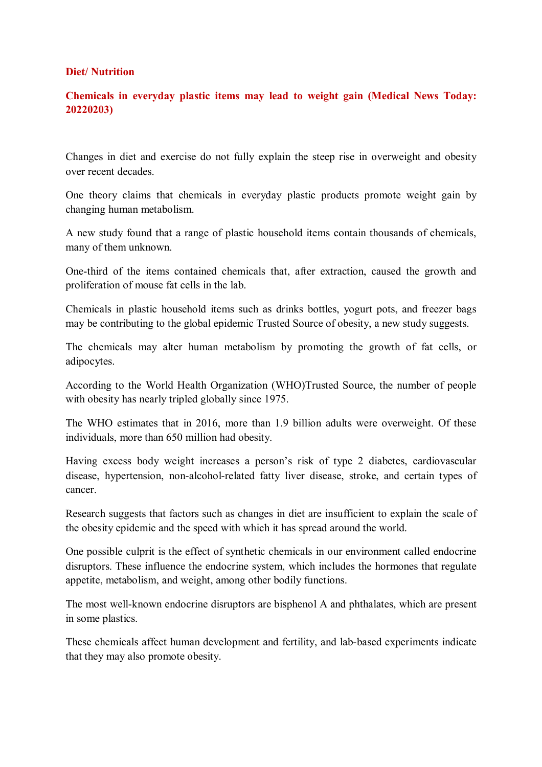#### **Diet/ Nutrition**

## **Chemicals in everyday plastic items may lead to weight gain (Medical News Today: 20220203)**

Changes in diet and exercise do not fully explain the steep rise in overweight and obesity over recent decades.

One theory claims that chemicals in everyday plastic products promote weight gain by changing human metabolism.

A new study found that a range of plastic household items contain thousands of chemicals, many of them unknown.

One-third of the items contained chemicals that, after extraction, caused the growth and proliferation of mouse fat cells in the lab.

Chemicals in plastic household items such as drinks bottles, yogurt pots, and freezer bags may be contributing to the global epidemic Trusted Source of obesity, a new study suggests.

The chemicals may alter human metabolism by promoting the growth of fat cells, or adipocytes.

According to the World Health Organization (WHO)Trusted Source, the number of people with obesity has nearly tripled globally since 1975.

The WHO estimates that in 2016, more than 1.9 billion adults were overweight. Of these individuals, more than 650 million had obesity.

Having excess body weight increases a person's risk of type 2 diabetes, cardiovascular disease, hypertension, non-alcohol-related fatty liver disease, stroke, and certain types of cancer.

Research suggests that factors such as changes in diet are insufficient to explain the scale of the obesity epidemic and the speed with which it has spread around the world.

One possible culprit is the effect of synthetic chemicals in our environment called endocrine disruptors. These influence the endocrine system, which includes the hormones that regulate appetite, metabolism, and weight, among other bodily functions.

The most well-known endocrine disruptors are bisphenol A and phthalates, which are present in some plastics.

These chemicals affect human development and fertility, and lab-based experiments indicate that they may also promote obesity.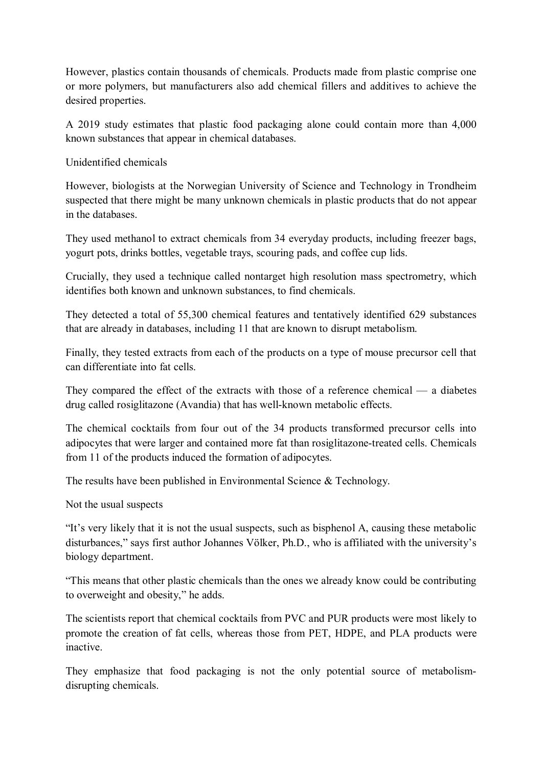However, plastics contain thousands of chemicals. Products made from plastic comprise one or more polymers, but manufacturers also add chemical fillers and additives to achieve the desired properties.

A 2019 study estimates that plastic food packaging alone could contain more than 4,000 known substances that appear in chemical databases.

Unidentified chemicals

However, biologists at the Norwegian University of Science and Technology in Trondheim suspected that there might be many unknown chemicals in plastic products that do not appear in the databases.

They used methanol to extract chemicals from 34 everyday products, including freezer bags, yogurt pots, drinks bottles, vegetable trays, scouring pads, and coffee cup lids.

Crucially, they used a technique called nontarget high resolution mass spectrometry, which identifies both known and unknown substances, to find chemicals.

They detected a total of 55,300 chemical features and tentatively identified 629 substances that are already in databases, including 11 that are known to disrupt metabolism.

Finally, they tested extracts from each of the products on a type of mouse precursor cell that can differentiate into fat cells.

They compared the effect of the extracts with those of a reference chemical — a diabetes drug called rosiglitazone (Avandia) that has well-known metabolic effects.

The chemical cocktails from four out of the 34 products transformed precursor cells into adipocytes that were larger and contained more fat than rosiglitazone-treated cells. Chemicals from 11 of the products induced the formation of adipocytes.

The results have been published in Environmental Science & Technology.

Not the usual suspects

"It's very likely that it is not the usual suspects, such as bisphenol A, causing these metabolic disturbances," says first author Johannes Völker, Ph.D., who is affiliated with the university's biology department.

"This means that other plastic chemicals than the ones we already know could be contributing to overweight and obesity," he adds.

The scientists report that chemical cocktails from PVC and PUR products were most likely to promote the creation of fat cells, whereas those from PET, HDPE, and PLA products were inactive.

They emphasize that food packaging is not the only potential source of metabolismdisrupting chemicals.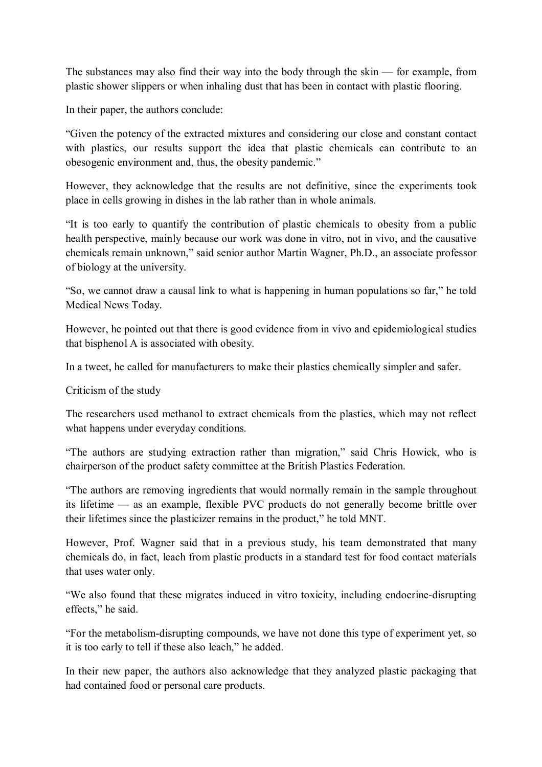The substances may also find their way into the body through the skin — for example, from plastic shower slippers or when inhaling dust that has been in contact with plastic flooring.

In their paper, the authors conclude:

"Given the potency of the extracted mixtures and considering our close and constant contact with plastics, our results support the idea that plastic chemicals can contribute to an obesogenic environment and, thus, the obesity pandemic."

However, they acknowledge that the results are not definitive, since the experiments took place in cells growing in dishes in the lab rather than in whole animals.

"It is too early to quantify the contribution of plastic chemicals to obesity from a public health perspective, mainly because our work was done in vitro, not in vivo, and the causative chemicals remain unknown," said senior author Martin Wagner, Ph.D., an associate professor of biology at the university.

"So, we cannot draw a causal link to what is happening in human populations so far," he told Medical News Today.

However, he pointed out that there is good evidence from in vivo and epidemiological studies that bisphenol A is associated with obesity.

In a tweet, he called for manufacturers to make their plastics chemically simpler and safer.

Criticism of the study

The researchers used methanol to extract chemicals from the plastics, which may not reflect what happens under everyday conditions.

"The authors are studying extraction rather than migration," said Chris Howick, who is chairperson of the product safety committee at the British Plastics Federation.

"The authors are removing ingredients that would normally remain in the sample throughout its lifetime — as an example, flexible PVC products do not generally become brittle over their lifetimes since the plasticizer remains in the product," he told MNT.

However, Prof. Wagner said that in a previous study, his team demonstrated that many chemicals do, in fact, leach from plastic products in a standard test for food contact materials that uses water only.

"We also found that these migrates induced in vitro toxicity, including endocrine-disrupting effects," he said.

"For the metabolism-disrupting compounds, we have not done this type of experiment yet, so it is too early to tell if these also leach," he added.

In their new paper, the authors also acknowledge that they analyzed plastic packaging that had contained food or personal care products.